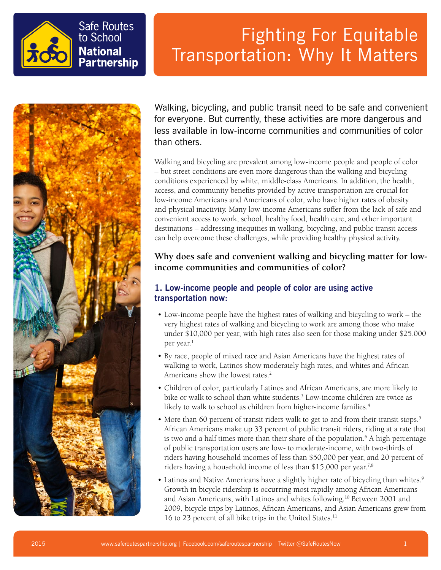



Walking, bicycling, and public transit need to be safe and convenient for everyone. But currently, these activities are more dangerous and less available in low-income communities and communities of color than others.

Walking and bicycling are prevalent among low-income people and people of color – but street conditions are even more dangerous than the walking and bicycling conditions experienced by white, middle-class Americans. In addition, the health, access, and community benefits provided by active transportation are crucial for low-income Americans and Americans of color, who have higher rates of obesity and physical inactivity. Many low-income Americans suffer from the lack of safe and convenient access to work, school, healthy food, health care, and other important destinations – addressing inequities in walking, bicycling, and public transit access can help overcome these challenges, while providing healthy physical activity.

### **Why does safe and convenient walking and bicycling matter for lowincome communities and communities of color?**

### **1. Low-income people and people of color are using active transportation now:**

- Low-income people have the highest rates of walking and bicycling to work the very highest rates of walking and bicycling to work are among those who make under \$10,000 per year, with high rates also seen for those making under \$25,000 per year.<sup>1</sup>
- By race, people of mixed race and Asian Americans have the highest rates of walking to work, Latinos show moderately high rates, and whites and African Americans show the lowest rates.<sup>2</sup>
- Children of color, particularly Latinos and African Americans, are more likely to bike or walk to school than white students.<sup>3</sup> Low-income children are twice as likely to walk to school as children from higher-income families.<sup>4</sup>
- More than 60 percent of transit riders walk to get to and from their transit stops.<sup>5</sup> African Americans make up 33 percent of public transit riders, riding at a rate that is two and a half times more than their share of the population.<sup>6</sup> A high percentage of public transportation users are low- to moderate-income, with two-thirds of riders having household incomes of less than \$50,000 per year, and 20 percent of riders having a household income of less than \$15,000 per year.<sup>7,8</sup>
- Latinos and Native Americans have a slightly higher rate of bicycling than whites.<sup>9</sup> Growth in bicycle ridership is occurring most rapidly among African Americans and Asian Americans, with Latinos and whites following.<sup>10</sup> Between 2001 and 2009, bicycle trips by Latinos, African Americans, and Asian Americans grew from 16 to 23 percent of all bike trips in the United States.11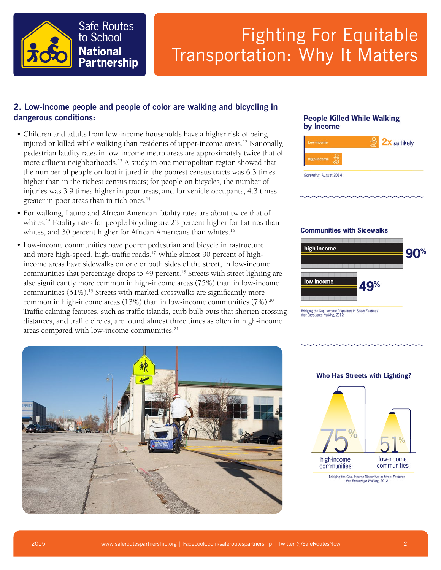

### **2. Low-income people and people of color are walking and bicycling in dangerous conditions:**

- Children and adults from low-income households have a higher risk of being injured or killed while walking than residents of upper-income areas.<sup>12</sup> Nationally, pedestrian fatality rates in low-income metro areas are approximately twice that of more affluent neighborhoods.<sup>13</sup> A study in one metropolitan region showed that the number of people on foot injured in the poorest census tracts was 6.3 times higher than in the richest census tracts; for people on bicycles, the number of injuries was 3.9 times higher in poor areas; and for vehicle occupants, 4.3 times greater in poor areas than in rich ones.<sup>14</sup>
- For walking, Latino and African American fatality rates are about twice that of whites.<sup>15</sup> Fatality rates for people bicycling are 23 percent higher for Latinos than whites, and 30 percent higher for African Americans than whites.<sup>16</sup>
- Low-income communities have poorer pedestrian and bicycle infrastructure and more high-speed, high-traffic roads.<sup>17</sup> While almost 90 percent of highincome areas have sidewalks on one or both sides of the street, in low-income communities that percentage drops to 49 percent.<sup>18</sup> Streets with street lighting are also significantly more common in high-income areas (75%) than in low-income communities (51%).<sup>19</sup> Streets with marked crosswalks are significantly more common in high-income areas (13%) than in low-income communities (7%).<sup>20</sup> Traffic calming features, such as traffic islands, curb bulb outs that shorten crossing distances, and traffic circles, are found almost three times as often in high-income areas compared with low-income communities.<sup>21</sup>

#### **People Killed While Walking** by Income



#### **Communities with Sidewalks**



Bridging the Gap, Income Disparities in Street Features<br>that Encourage Walking, 2012



#### **Who Has Streets with Lighting?**



Bridging the Gap, Income Disparities in Street Features<br>that Encourage Walking, 2012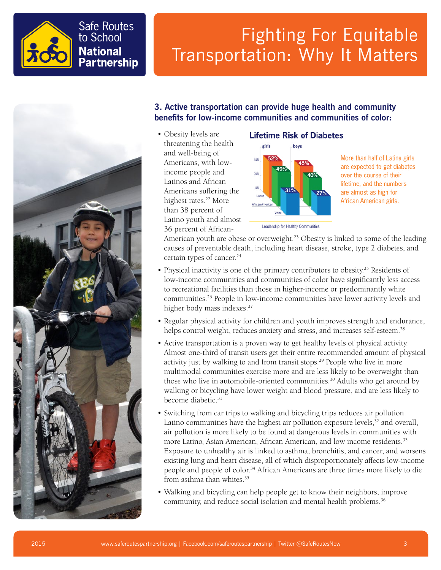



### **3. Active transportation can provide huge health and community benefits for low-income communities and communities of color:**

• Obesity levels are threatening the health and well-being of Americans, with lowincome people and Latinos and African Americans suffering the highest rates.<sup>22</sup> More than 38 percent of Latino youth and almost 36 percent of African-

#### **Lifetime Risk of Diabetes**



More than half of Latina girls are expected to get diabetes over the course of their lifetime, and the numbers are almost as high for African American girls.

American youth are obese or overweight.<sup>23</sup> Obesity is linked to some of the leading causes of preventable death, including heart disease, stroke, type 2 diabetes, and certain types of cancer.<sup>24</sup>

- Physical inactivity is one of the primary contributors to obesity.<sup>25</sup> Residents of low-income communities and communities of color have significantly less access to recreational facilities than those in higher-income or predominantly white communities.26 People in low-income communities have lower activity levels and higher body mass indexes.<sup>27</sup>
- Regular physical activity for children and youth improves strength and endurance, helps control weight, reduces anxiety and stress, and increases self-esteem.<sup>28</sup>
- Active transportation is a proven way to get healthy levels of physical activity. Almost one-third of transit users get their entire recommended amount of physical activity just by walking to and from transit stops.<sup>29</sup> People who live in more multimodal communities exercise more and are less likely to be overweight than those who live in automobile-oriented communities.<sup>30</sup> Adults who get around by walking or bicycling have lower weight and blood pressure, and are less likely to become diabetic.<sup>31</sup>
- Switching from car trips to walking and bicycling trips reduces air pollution. Latino communities have the highest air pollution exposure levels, $32$  and overall, air pollution is more likely to be found at dangerous levels in communities with more Latino, Asian American, African American, and low income residents.<sup>33</sup> Exposure to unhealthy air is linked to asthma, bronchitis, and cancer, and worsens existing lung and heart disease, all of which disproportionately affects low-income people and people of color.<sup>34</sup> African Americans are three times more likely to die from asthma than whites.<sup>35</sup>
- Walking and bicycling can help people get to know their neighbors, improve community, and reduce social isolation and mental health problems.<sup>36</sup>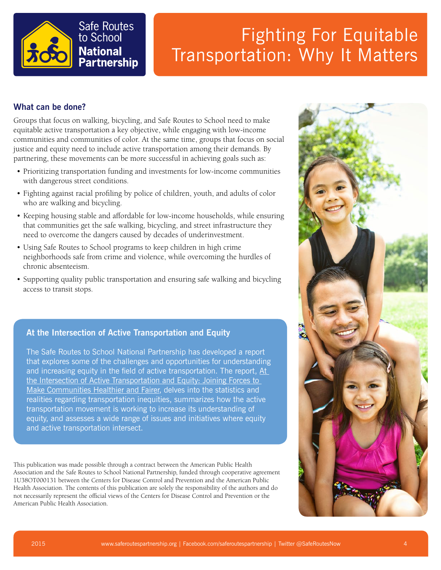

### **What can be done?**

Groups that focus on walking, bicycling, and Safe Routes to School need to make equitable active transportation a key objective, while engaging with low-income communities and communities of color. At the same time, groups that focus on social justice and equity need to include active transportation among their demands. By partnering, these movements can be more successful in achieving goals such as:

- Prioritizing transportation funding and investments for low-income communities with dangerous street conditions.
- Fighting against racial profiling by police of children, youth, and adults of color who are walking and bicycling.
- Keeping housing stable and affordable for low-income households, while ensuring that communities get the safe walking, bicycling, and street infrastructure they need to overcome the dangers caused by decades of underinvestment.
- Using Safe Routes to School programs to keep children in high crime neighborhoods safe from crime and violence, while overcoming the hurdles of chronic absenteeism.
- Supporting quality public transportation and ensuring safe walking and bicycling access to transit stops.

### **At the Intersection of Active Transportation and Equity**

The Safe Routes to School National Partnership has developed a report that explores some of the challenges and opportunities for understanding and increasing equity in the field of active transportation. The report,  $A t$ [the Intersection of Active Transportation and Equity: Joining Forces to](http://saferoutespartnership.org/sites/default/files/pdf/At-the-Intersection-of-Active-Transportation-and-Equity.pdf)  [Make Communities Healthier and Fairer](http://saferoutespartnership.org/sites/default/files/pdf/At-the-Intersection-of-Active-Transportation-and-Equity.pdf), delves into the statistics and realities regarding transportation inequities, summarizes how the active transportation movement is working to increase its understanding of equity, and assesses a wide range of issues and initiatives where equity and active transportation intersect.

This publication was made possible through a contract between the American Public Health Association and the Safe Routes to School National Partnership, funded through cooperative agreement 1U38OT000131 between the Centers for Disease Control and Prevention and the American Public Health Association. The contents of this publication are solely the responsibility of the authors and do not necessarily represent the official views of the Centers for Disease Control and Prevention or the American Public Health Association.